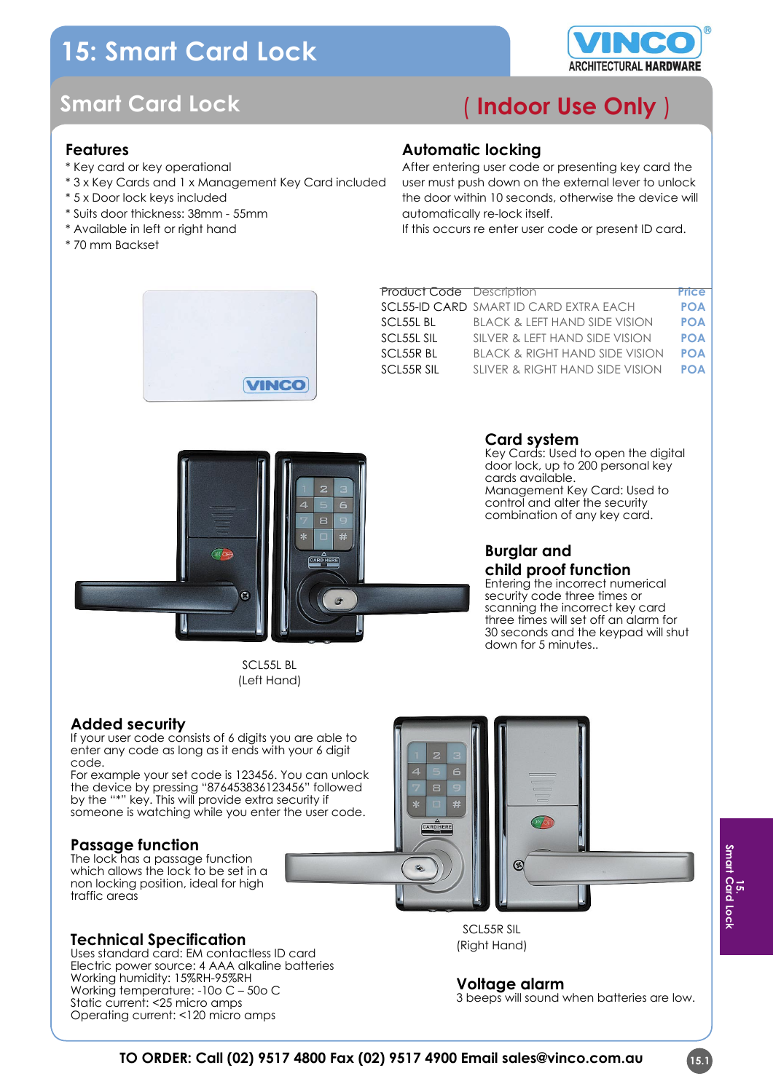# **15: Smart Card Lock**



## **Smart Card Lock**

## **Features**

- \* Key card or key operational
- \* 3 x Key Cards and 1 x Management Key Card included
- \* 5 x Door lock keys included
- \* Suits door thickness: 38mm 55mm
- \* Available in left or right hand
- \* 70 mm Backset

## ( **Indoor Use Only** )

### **Automatic locking**

After entering user code or presenting key card the user must push down on the external lever to unlock the door within 10 seconds, otherwise the device will automatically re-lock itself.

If this occurs re enter user code or present ID card.



| <b>Product Code Description</b> |                                           | <b>Price</b> |
|---------------------------------|-------------------------------------------|--------------|
|                                 | SCL55-ID CARD SMART ID CARD EXTRA EACH    | <b>POA</b>   |
| SCL55L BL                       | <b>BLACK &amp; LEFT HAND SIDE VISION</b>  | <b>POA</b>   |
| SCL55L SIL                      | SILVER & LEFT HAND SIDE VISION            | <b>POA</b>   |
| SCL55R BL                       | <b>BLACK &amp; RIGHT HAND SIDE VISION</b> | <b>POA</b>   |
| <b>SCL55R SIL</b>               | SLIVER & RIGHT HAND SIDE VISION           | <b>POA</b>   |
|                                 |                                           |              |



SCL55L BL (Left Hand)

## **Card system**

Key Cards: Used to open the digital door lock, up to 200 personal key cards available. Management Key Card: Used to control and alter the security combination of any key card.

## **Burglar and child proof function**

Entering the incorrect numerical security code three times or scanning the incorrect key card three times will set off an alarm for 30 seconds and the keypad will shut down for 5 minutes..

## **Added security**

If your user code consists of 6 digits you are able to enter any code as long as it ends with your 6 digit code.

For example your set code is 123456. You can unlock the device by pressing "876453836123456" followed by the "\*" key. This will provide extra security if someone is watching while you enter the user code.

## **Passage function**

The lock has a passage function which allows the lock to be set in a non locking position, ideal for high traffic areas

#### **Technical Specification**

Uses standard card: EM contactless ID card Electric power source: 4 AAA alkaline batteries Working humidity: 15%RH-95%RH Working temperature: -10o C – 50o C Static current: <25 micro amps Operating current: <120 micro amps

SCL55R SIL (Right Hand)

#### **Voltage alarm**

3 beeps will sound when batteries are low.